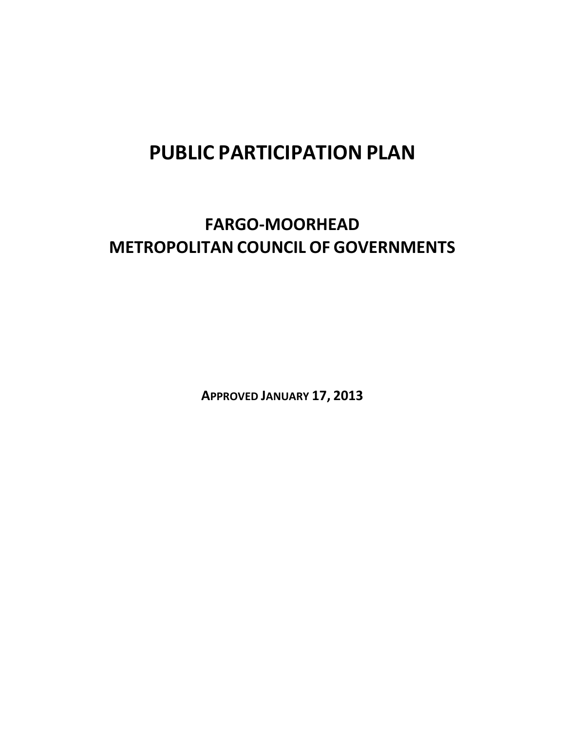# **PUBLIC PARTICIPATION PLAN**

# **FARGO‐MOORHEAD METROPOLITAN COUNCIL OF GOVERNMENTS**

**APPROVED JANUARY 17, 2013**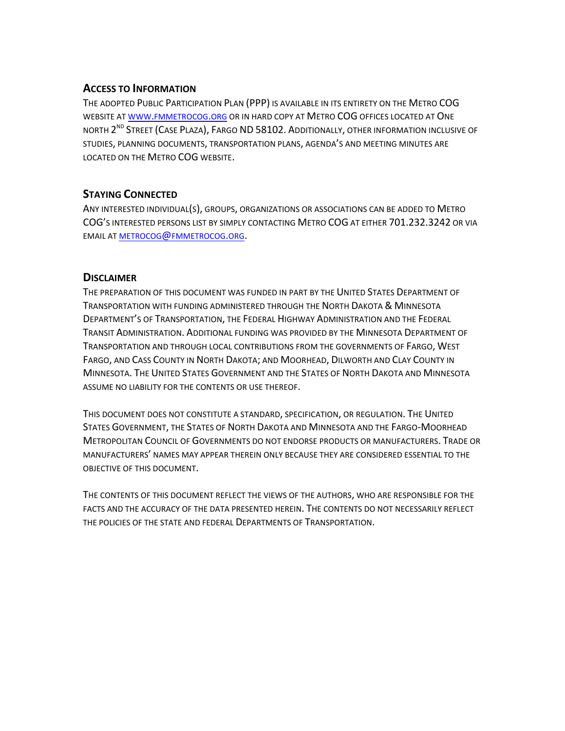#### **ACCESS TO INFORMATION**

THE ADOPTED PUBLIC PARTICIPATION PLAN (PPP) IS AVAILABLE IN ITS ENTIRETY ON THE METRO COG WEBSITE AT WWW.FMMETROCOG.ORG OR IN HARD COPY AT METRO COG OFFICES LOCATED AT ONE NORTH 2<sup>ND</sup> STREET (CASE PLAZA), FARGO ND 58102. ADDITIONALLY, OTHER INFORMATION INCLUSIVE OF STUDIES, PLANNING DOCUMENTS, TRANSPORTATION PLANS, AGENDA'S AND MEETING MINUTES ARE LOCATED ON THE METRO COG WEBSITE.

#### **STAYING CONNECTED**

ANY INTERESTED INDIVIDUAL(S), GROUPS, ORGANIZATIONS OR ASSOCIATIONS CAN BE ADDED TO METRO COG'S INTERESTED PERSONS LIST BY SIMPLY CONTACTING METRO COG AT EITHER 701.232.3242 OR VIA EMAIL AT METROCOG@FMMETROCOG.ORG.

#### **DISCLAIMER**

THE PREPARATION OF THIS DOCUMENT WAS FUNDED IN PART BY THE UNITED STATES DEPARTMENT OF TRANSPORTATION WITH FUNDING ADMINISTERED THROUGH THE NORTH DAKOTA & MINNESOTA DEPARTMENT'S OF TRANSPORTATION, THE FEDERAL HIGHWAY ADMINISTRATION AND THE FEDERAL TRANSIT ADMINISTRATION. ADDITIONAL FUNDING WAS PROVIDED BY THE MINNESOTA DEPARTMENT OF TRANSPORTATION AND THROUGH LOCAL CONTRIBUTIONS FROM THE GOVERNMENTS OF FARGO, WEST FARGO, AND CASS COUNTY IN NORTH DAKOTA; AND MOORHEAD, DILWORTH AND CLAY COUNTY IN MINNESOTA. THE UNITED STATES GOVERNMENT AND THE STATES OF NORTH DAKOTA AND MINNESOTA ASSUME NO LIABILITY FOR THE CONTENTS OR USE THEREOF.

THIS DOCUMENT DOES NOT CONSTITUTE A STANDARD, SPECIFICATION, OR REGULATION. THE UNITED STATES GOVERNMENT, THE STATES OF NORTH DAKOTA AND MINNESOTA AND THE FARGO‐MOORHEAD METROPOLITAN COUNCIL OF GOVERNMENTS DO NOT ENDORSE PRODUCTS OR MANUFACTURERS. TRADE OR MANUFACTURERS' NAMES MAY APPEAR THEREIN ONLY BECAUSE THEY ARE CONSIDERED ESSENTIAL TO THE OBJECTIVE OF THIS DOCUMENT.

THE CONTENTS OF THIS DOCUMENT REFLECT THE VIEWS OF THE AUTHORS, WHO ARE RESPONSIBLE FOR THE FACTS AND THE ACCURACY OF THE DATA PRESENTED HEREIN. THE CONTENTS DO NOT NECESSARILY REFLECT THE POLICIES OF THE STATE AND FEDERAL DEPARTMENTS OF TRANSPORTATION.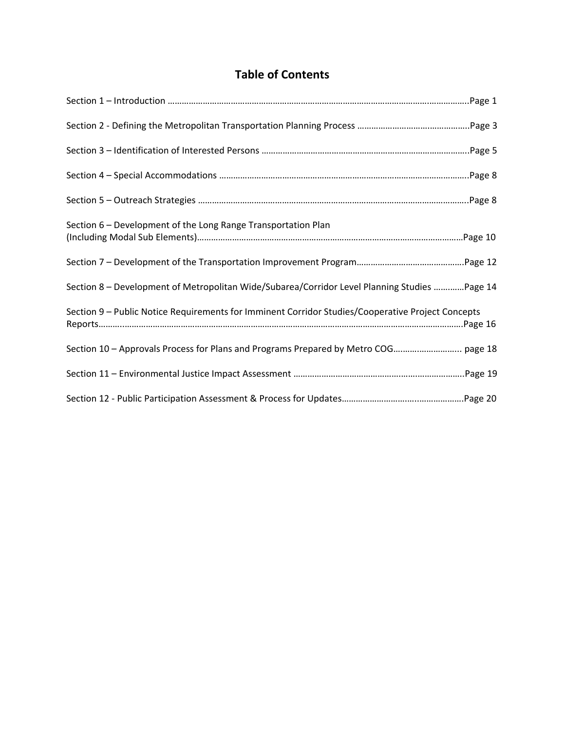# **Table of Contents**

| Section 6 – Development of the Long Range Transportation Plan                                     |
|---------------------------------------------------------------------------------------------------|
|                                                                                                   |
| Section 8 - Development of Metropolitan Wide/Subarea/Corridor Level Planning Studies Page 14      |
| Section 9 - Public Notice Requirements for Imminent Corridor Studies/Cooperative Project Concepts |
|                                                                                                   |
|                                                                                                   |
|                                                                                                   |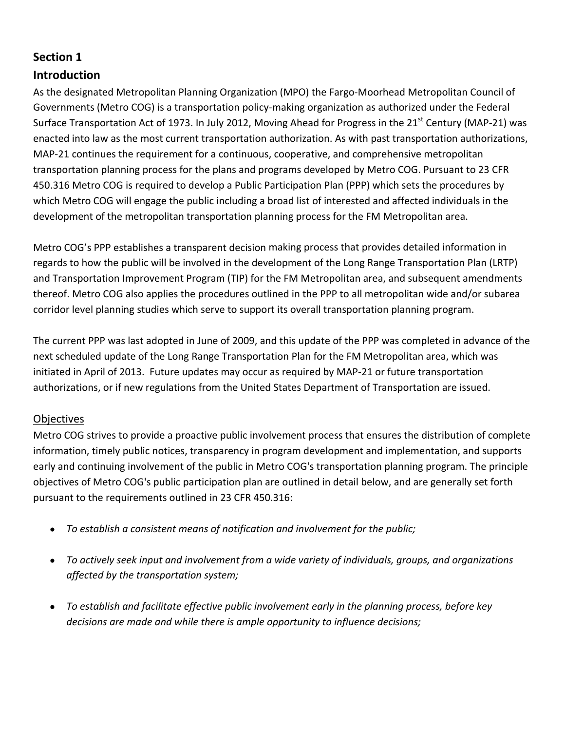## **Introduction**

As the designated Metropolitan Planning Organization (MPO) the Fargo‐Moorhead Metropolitan Council of Governments (Metro COG) is a transportation policy‐making organization as authorized under the Federal Surface Transportation Act of 1973. In July 2012, Moving Ahead for Progress in the  $21<sup>st</sup>$  Century (MAP-21) was enacted into law as the most current transportation authorization. As with past transportation authorizations, MAP-21 continues the requirement for a continuous, cooperative, and comprehensive metropolitan transportation planning process for the plans and programs developed by Metro COG. Pursuant to 23 CFR 450.316 Metro COG is required to develop a Public Participation Plan (PPP) which sets the procedures by which Metro COG will engage the public including a broad list of interested and affected individuals in the development of the metropolitan transportation planning process for the FM Metropolitan area.

Metro COG's PPP establishes a transparent decision making process that provides detailed information in regards to how the public will be involved in the development of the Long Range Transportation Plan (LRTP) and Transportation Improvement Program (TIP) for the FM Metropolitan area, and subsequent amendments thereof. Metro COG also applies the procedures outlined in the PPP to all metropolitan wide and/or subarea corridor level planning studies which serve to support its overall transportation planning program.

The current PPP was last adopted in June of 2009, and this update of the PPP was completed in advance of the next scheduled update of the Long Range Transportation Plan for the FM Metropolitan area, which was initiated in April of 2013. Future updates may occur as required by MAP‐21 or future transportation authorizations, or if new regulations from the United States Department of Transportation are issued.

#### **Objectives**

Metro COG strives to provide a proactive public involvement process that ensures the distribution of complete information, timely public notices, transparency in program development and implementation, and supports early and continuing involvement of the public in Metro COG's transportation planning program. The principle objectives of Metro COG's public participation plan are outlined in detail below, and are generally set forth pursuant to the requirements outlined in 23 CFR 450.316:

- *To establish a consistent means of notification and involvement for the public;*
- *To actively seek input and involvement from a wide variety of individuals, groups, and organizations affected by the transportation system;*
- *To establish and facilitate effective public involvement early in the planning process, before key decisions are made and while there is ample opportunity to influence decisions;*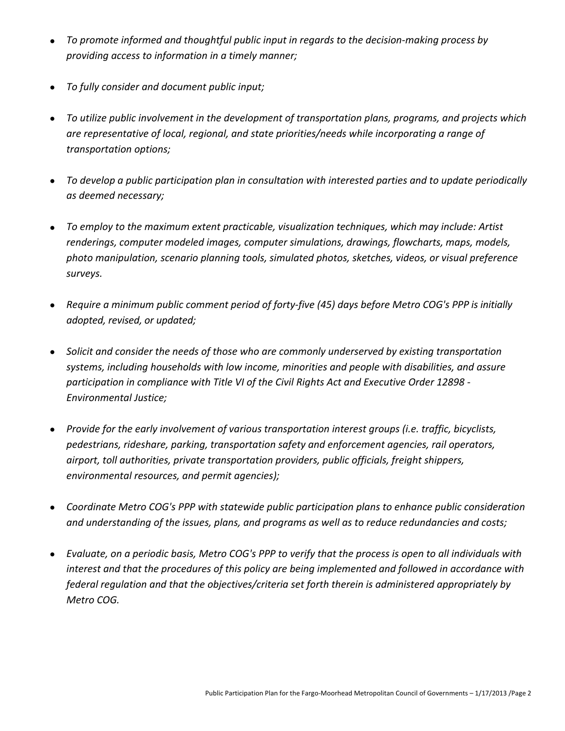- *To promote informed and thoughtful public input in regards to the decision‐making process by providing access to information in a timely manner;*
- *To fully consider and document public input;*
- *To utilize public involvement in the development of transportation plans, programs, and projects which are representative of local, regional, and state priorities/needs while incorporating a range of transportation options;*
- *To develop a public participation plan in consultation with interested parties and to update periodically as deemed necessary;*
- *To employ to the maximum extent practicable, visualization techniques, which may include: Artist renderings, computer modeled images, computer simulations, drawings, flowcharts, maps, models, photo manipulation, scenario planning tools, simulated photos, sketches, videos, or visual preference surveys.*
- Require a minimum public comment period of forty-five (45) days before Metro COG's PPP is initially *adopted, revised, or updated;*
- *Solicit and consider the needs of those who are commonly underserved by existing transportation systems, including households with low income, minorities and people with disabilities, and assure participation in compliance with Title VI of the Civil Rights Act and Executive Order 12898 ‐ Environmental Justice;*
- *Provide for the early involvement of various transportation interest groups (i.e. traffic, bicyclists, pedestrians, rideshare, parking, transportation safety and enforcement agencies, rail operators, airport, toll authorities, private transportation providers, public officials, freight shippers, environmental resources, and permit agencies);*
- *Coordinate Metro COG's PPP with statewide public participation plans to enhance public consideration and understanding of the issues, plans, and programs as well as to reduce redundancies and costs;*
- Evaluate, on a periodic basis, Metro COG's PPP to verify that the process is open to all individuals with *interest and that the procedures of this policy are being implemented and followed in accordance with federal regulation and that the objectives/criteria set forth therein is administered appropriately by Metro COG.*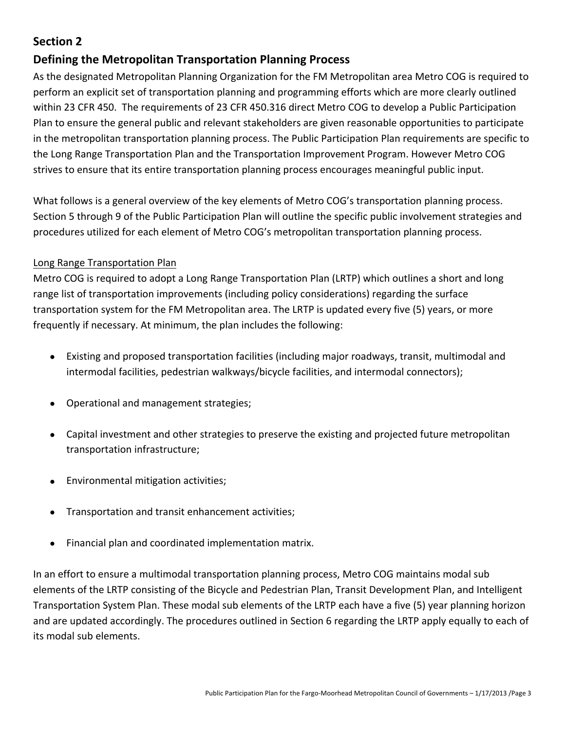## **Defining the Metropolitan Transportation Planning Process**

As the designated Metropolitan Planning Organization for the FM Metropolitan area Metro COG is required to perform an explicit set of transportation planning and programming efforts which are more clearly outlined within 23 CFR 450. The requirements of 23 CFR 450.316 direct Metro COG to develop a Public Participation Plan to ensure the general public and relevant stakeholders are given reasonable opportunities to participate in the metropolitan transportation planning process. The Public Participation Plan requirements are specific to the Long Range Transportation Plan and the Transportation Improvement Program. However Metro COG strives to ensure that its entire transportation planning process encourages meaningful public input.

What follows is a general overview of the key elements of Metro COG's transportation planning process. Section 5 through 9 of the Public Participation Plan will outline the specific public involvement strategies and procedures utilized for each element of Metro COG's metropolitan transportation planning process.

#### Long Range Transportation Plan

Metro COG is required to adopt a Long Range Transportation Plan (LRTP) which outlines a short and long range list of transportation improvements (including policy considerations) regarding the surface transportation system for the FM Metropolitan area. The LRTP is updated every five (5) years, or more frequently if necessary. At minimum, the plan includes the following:

- Existing and proposed transportation facilities (including major roadways, transit, multimodal and intermodal facilities, pedestrian walkways/bicycle facilities, and intermodal connectors);
- Operational and management strategies;
- Capital investment and other strategies to preserve the existing and projected future metropolitan transportation infrastructure;
- Environmental mitigation activities;
- Transportation and transit enhancement activities;
- Financial plan and coordinated implementation matrix.

In an effort to ensure a multimodal transportation planning process, Metro COG maintains modal sub elements of the LRTP consisting of the Bicycle and Pedestrian Plan, Transit Development Plan, and Intelligent Transportation System Plan. These modal sub elements of the LRTP each have a five (5) year planning horizon and are updated accordingly. The procedures outlined in Section 6 regarding the LRTP apply equally to each of its modal sub elements.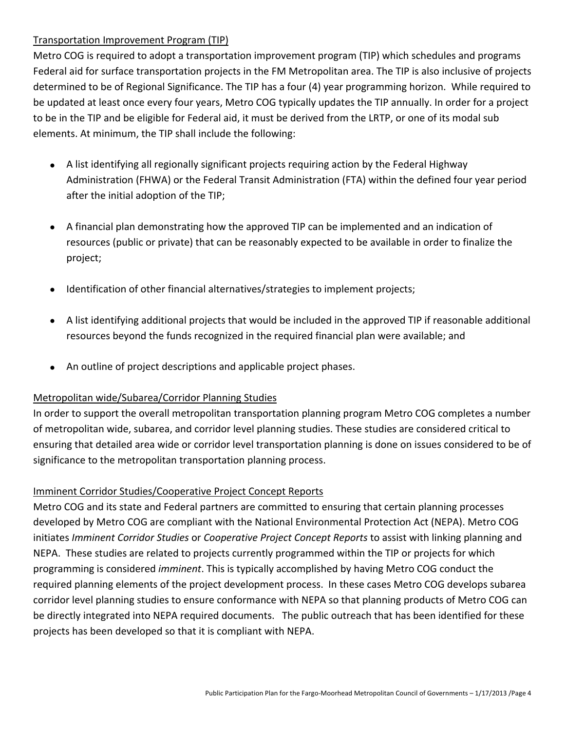#### Transportation Improvement Program (TIP)

Metro COG is required to adopt a transportation improvement program (TIP) which schedules and programs Federal aid for surface transportation projects in the FM Metropolitan area. The TIP is also inclusive of projects determined to be of Regional Significance. The TIP has a four (4) year programming horizon. While required to be updated at least once every four years, Metro COG typically updates the TIP annually. In order for a project to be in the TIP and be eligible for Federal aid, it must be derived from the LRTP, or one of its modal sub elements. At minimum, the TIP shall include the following:

- A list identifying all regionally significant projects requiring action by the Federal Highway Administration (FHWA) or the Federal Transit Administration (FTA) within the defined four year period after the initial adoption of the TIP;
- A financial plan demonstrating how the approved TIP can be implemented and an indication of resources (public or private) that can be reasonably expected to be available in order to finalize the project;
- Identification of other financial alternatives/strategies to implement projects;
- A list identifying additional projects that would be included in the approved TIP if reasonable additional resources beyond the funds recognized in the required financial plan were available; and
- An outline of project descriptions and applicable project phases.

#### Metropolitan wide/Subarea/Corridor Planning Studies

In order to support the overall metropolitan transportation planning program Metro COG completes a number of metropolitan wide, subarea, and corridor level planning studies. These studies are considered critical to ensuring that detailed area wide or corridor level transportation planning is done on issues considered to be of significance to the metropolitan transportation planning process.

#### Imminent Corridor Studies/Cooperative Project Concept Reports

Metro COG and its state and Federal partners are committed to ensuring that certain planning processes developed by Metro COG are compliant with the National Environmental Protection Act (NEPA). Metro COG initiates *Imminent Corridor Studies* or *Cooperative Project Concept Reports* to assist with linking planning and NEPA. These studies are related to projects currently programmed within the TIP or projects for which programming is considered *imminent*. This is typically accomplished by having Metro COG conduct the required planning elements of the project development process. In these cases Metro COG develops subarea corridor level planning studies to ensure conformance with NEPA so that planning products of Metro COG can be directly integrated into NEPA required documents. The public outreach that has been identified for these projects has been developed so that it is compliant with NEPA.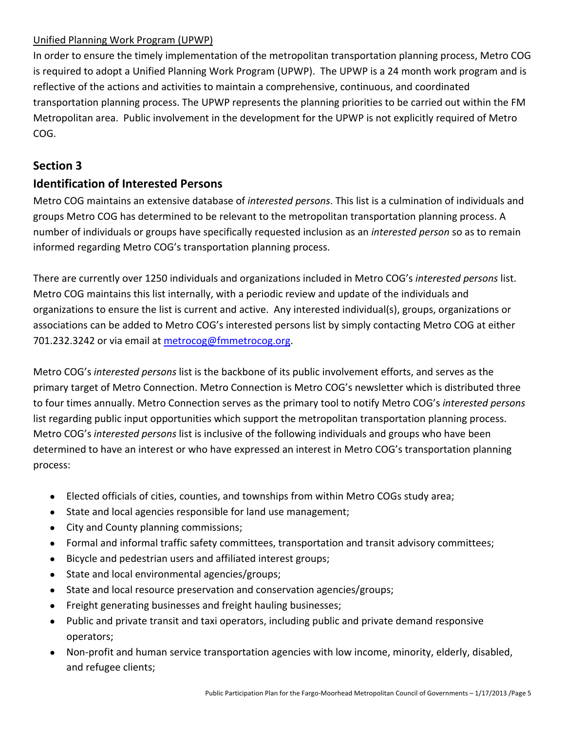#### Unified Planning Work Program (UPWP)

In order to ensure the timely implementation of the metropolitan transportation planning process, Metro COG is required to adopt a Unified Planning Work Program (UPWP). The UPWP is a 24 month work program and is reflective of the actions and activities to maintain a comprehensive, continuous, and coordinated transportation planning process. The UPWP represents the planning priorities to be carried out within the FM Metropolitan area. Public involvement in the development for the UPWP is not explicitly required of Metro COG.

# **Section 3**

## **Identification of Interested Persons**

Metro COG maintains an extensive database of *interested persons*. This list is a culmination of individuals and groups Metro COG has determined to be relevant to the metropolitan transportation planning process. A number of individuals or groups have specifically requested inclusion as an *interested person* so as to remain informed regarding Metro COG's transportation planning process.

There are currently over 1250 individuals and organizations included in Metro COG's *interested persons* list. Metro COG maintains this list internally, with a periodic review and update of the individuals and organizations to ensure the list is current and active. Any interested individual(s), groups, organizations or associations can be added to Metro COG's interested persons list by simply contacting Metro COG at either 701.232.3242 or via email at metrocog@fmmetrocog.org.

Metro COG's *interested persons* list is the backbone of its public involvement efforts, and serves as the primary target of Metro Connection. Metro Connection is Metro COG's newsletter which is distributed three to four times annually. Metro Connection serves as the primary tool to notify Metro COG's *interested persons* list regarding public input opportunities which support the metropolitan transportation planning process. Metro COG's *interested persons* list is inclusive of the following individuals and groups who have been determined to have an interest or who have expressed an interest in Metro COG's transportation planning process:

- Elected officials of cities, counties, and townships from within Metro COGs study area;
- State and local agencies responsible for land use management;
- City and County planning commissions;
- Formal and informal traffic safety committees, transportation and transit advisory committees;
- Bicycle and pedestrian users and affiliated interest groups;
- State and local environmental agencies/groups;
- State and local resource preservation and conservation agencies/groups;
- Freight generating businesses and freight hauling businesses;
- Public and private transit and taxi operators, including public and private demand responsive operators;
- Non-profit and human service transportation agencies with low income, minority, elderly, disabled, and refugee clients;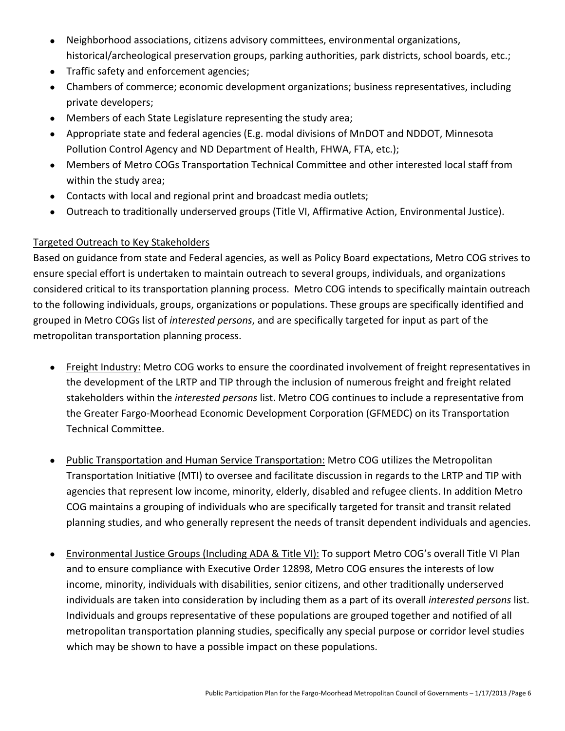- Neighborhood associations, citizens advisory committees, environmental organizations, historical/archeological preservation groups, parking authorities, park districts, school boards, etc.;
- Traffic safety and enforcement agencies;
- Chambers of commerce; economic development organizations; business representatives, including private developers;
- Members of each State Legislature representing the study area;
- Appropriate state and federal agencies (E.g. modal divisions of MnDOT and NDDOT, Minnesota Pollution Control Agency and ND Department of Health, FHWA, FTA, etc.);
- Members of Metro COGs Transportation Technical Committee and other interested local staff from within the study area;
- Contacts with local and regional print and broadcast media outlets;
- Outreach to traditionally underserved groups (Title VI, Affirmative Action, Environmental Justice).

#### Targeted Outreach to Key Stakeholders

Based on guidance from state and Federal agencies, as well as Policy Board expectations, Metro COG strives to ensure special effort is undertaken to maintain outreach to several groups, individuals, and organizations considered critical to its transportation planning process. Metro COG intends to specifically maintain outreach to the following individuals, groups, organizations or populations. These groups are specifically identified and grouped in Metro COGs list of *interested persons*, and are specifically targeted for input as part of the metropolitan transportation planning process.

- Freight Industry: Metro COG works to ensure the coordinated involvement of freight representatives in the development of the LRTP and TIP through the inclusion of numerous freight and freight related stakeholders within the *interested persons* list. Metro COG continues to include a representative from the Greater Fargo‐Moorhead Economic Development Corporation (GFMEDC) on its Transportation Technical Committee.
- Public Transportation and Human Service Transportation: Metro COG utilizes the Metropolitan Transportation Initiative (MTI) to oversee and facilitate discussion in regards to the LRTP and TIP with agencies that represent low income, minority, elderly, disabled and refugee clients. In addition Metro COG maintains a grouping of individuals who are specifically targeted for transit and transit related planning studies, and who generally represent the needs of transit dependent individuals and agencies.
- Environmental Justice Groups (Including ADA & Title VI): To support Metro COG's overall Title VI Plan and to ensure compliance with Executive Order 12898, Metro COG ensures the interests of low income, minority, individuals with disabilities, senior citizens, and other traditionally underserved individuals are taken into consideration by including them as a part of its overall *interested persons* list. Individuals and groups representative of these populations are grouped together and notified of all metropolitan transportation planning studies, specifically any special purpose or corridor level studies which may be shown to have a possible impact on these populations.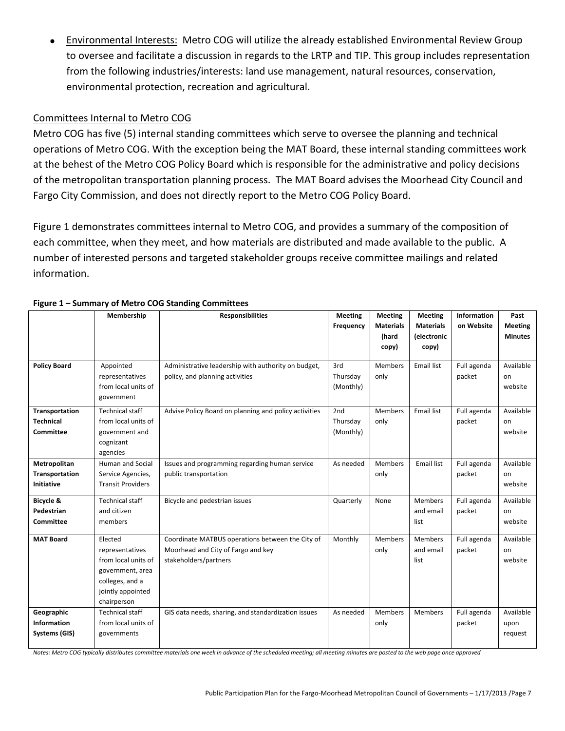Environmental Interests: Metro COG will utilize the already established Environmental Review Group to oversee and facilitate a discussion in regards to the LRTP and TIP. This group includes representation from the following industries/interests: land use management, natural resources, conservation, environmental protection, recreation and agricultural.

#### Committees Internal to Metro COG

Metro COG has five (5) internal standing committees which serve to oversee the planning and technical operations of Metro COG. With the exception being the MAT Board, these internal standing committees work at the behest of the Metro COG Policy Board which is responsible for the administrative and policy decisions of the metropolitan transportation planning process. The MAT Board advises the Moorhead City Council and Fargo City Commission, and does not directly report to the Metro COG Policy Board.

Figure 1 demonstrates committees internal to Metro COG, and provides a summary of the composition of each committee, when they meet, and how materials are distributed and made available to the public. A number of interested persons and targeted stakeholder groups receive committee mailings and related information.

|                                                            | Membership                                                                                                                   | <b>Responsibilities</b>                                                                                         | <b>Meeting</b><br>Frequency  | <b>Meeting</b><br><b>Materials</b> | <b>Meeting</b><br><b>Materials</b>  | Information<br>on Website | Past<br><b>Meeting</b>       |
|------------------------------------------------------------|------------------------------------------------------------------------------------------------------------------------------|-----------------------------------------------------------------------------------------------------------------|------------------------------|------------------------------------|-------------------------------------|---------------------------|------------------------------|
|                                                            |                                                                                                                              |                                                                                                                 |                              | (hard<br>copy)                     | (electronic<br>copy)                |                           | <b>Minutes</b>               |
| <b>Policy Board</b>                                        | Appointed<br>representatives<br>from local units of<br>government                                                            | Administrative leadership with authority on budget,<br>policy, and planning activities                          | 3rd<br>Thursday<br>(Monthly) | <b>Members</b><br>only             | <b>Email list</b>                   | Full agenda<br>packet     | Available<br>on<br>website   |
| Transportation<br><b>Technical</b><br><b>Committee</b>     | Technical staff<br>from local units of<br>government and<br>cognizant<br>agencies                                            | Advise Policy Board on planning and policy activities                                                           | 2nd<br>Thursday<br>(Monthly) | <b>Members</b><br>only             | <b>Email list</b>                   | Full agenda<br>packet     | Available<br>on<br>website   |
| Metropolitan<br><b>Transportation</b><br><b>Initiative</b> | Human and Social<br>Service Agencies,<br><b>Transit Providers</b>                                                            | Issues and programming regarding human service<br>public transportation                                         | As needed                    | Members<br>only                    | Email list                          | Full agenda<br>packet     | Available<br>on<br>website   |
| Bicycle &<br>Pedestrian<br><b>Committee</b>                | <b>Technical staff</b><br>and citizen<br>members                                                                             | Bicycle and pedestrian issues                                                                                   | Quarterly                    | None                               | <b>Members</b><br>and email<br>list | Full agenda<br>packet     | Available<br>on<br>website   |
| <b>MAT Board</b>                                           | Elected<br>representatives<br>from local units of<br>government, area<br>colleges, and a<br>jointly appointed<br>chairperson | Coordinate MATBUS operations between the City of<br>Moorhead and City of Fargo and key<br>stakeholders/partners | Monthly                      | Members<br>only                    | <b>Members</b><br>and email<br>list | Full agenda<br>packet     | Available<br>on<br>website   |
| Geographic<br><b>Information</b><br>Systems (GIS)          | Technical staff<br>from local units of<br>governments                                                                        | GIS data needs, sharing, and standardization issues                                                             | As needed                    | <b>Members</b><br>only             | <b>Members</b>                      | Full agenda<br>packet     | Available<br>upon<br>request |

#### **Figure 1 – Summary of Metro COG Standing Committees**

Notes: Metro COG typically distributes committee materials one week in advance of the scheduled meeting; all meeting minutes are posted to the web page once approved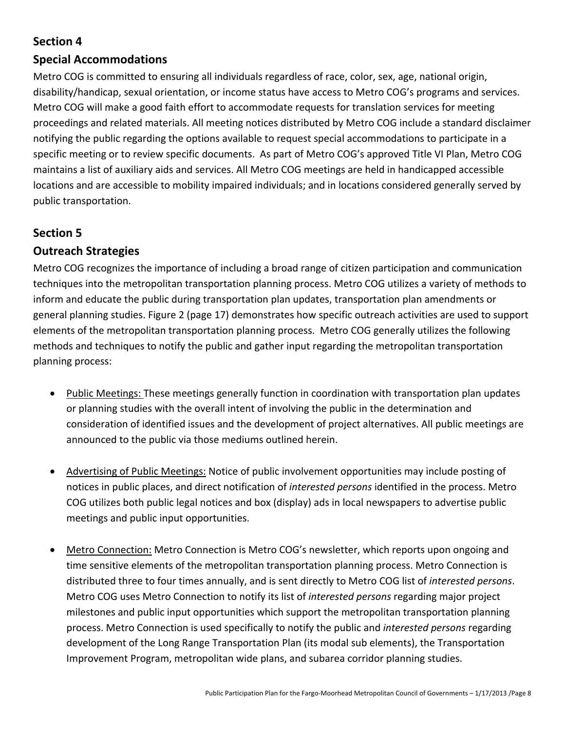## **Special Accommodations**

Metro COG is committed to ensuring all individuals regardless of race, color, sex, age, national origin, disability/handicap, sexual orientation, or income status have access to Metro COG's programs and services. Metro COG will make a good faith effort to accommodate requests for translation services for meeting proceedings and related materials. All meeting notices distributed by Metro COG include a standard disclaimer notifying the public regarding the options available to request special accommodations to participate in a specific meeting or to review specific documents. As part of Metro COG's approved Title VI Plan, Metro COG maintains a list of auxiliary aids and services. All Metro COG meetings are held in handicapped accessible locations and are accessible to mobility impaired individuals; and in locations considered generally served by public transportation.

## **Section 5**

## **Outreach Strategies**

Metro COG recognizes the importance of including a broad range of citizen participation and communication techniques into the metropolitan transportation planning process. Metro COG utilizes a variety of methods to inform and educate the public during transportation plan updates, transportation plan amendments or general planning studies. Figure 2 (page 17) demonstrates how specific outreach activities are used to support elements of the metropolitan transportation planning process. Metro COG generally utilizes the following methods and techniques to notify the public and gather input regarding the metropolitan transportation planning process:

- Public Meetings: These meetings generally function in coordination with transportation plan updates or planning studies with the overall intent of involving the public in the determination and consideration of identified issues and the development of project alternatives. All public meetings are announced to the public via those mediums outlined herein.
- Advertising of Public Meetings: Notice of public involvement opportunities may include posting of notices in public places, and direct notification of *interested persons* identified in the process. Metro COG utilizes both public legal notices and box (display) ads in local newspapers to advertise public meetings and public input opportunities.
- Metro Connection: Metro Connection is Metro COG's newsletter, which reports upon ongoing and time sensitive elements of the metropolitan transportation planning process. Metro Connection is distributed three to four times annually, and is sent directly to Metro COG list of *interested persons*. Metro COG uses Metro Connection to notify its list of *interested persons* regarding major project milestones and public input opportunities which support the metropolitan transportation planning process. Metro Connection is used specifically to notify the public and *interested persons* regarding development of the Long Range Transportation Plan (its modal sub elements), the Transportation Improvement Program, metropolitan wide plans, and subarea corridor planning studies.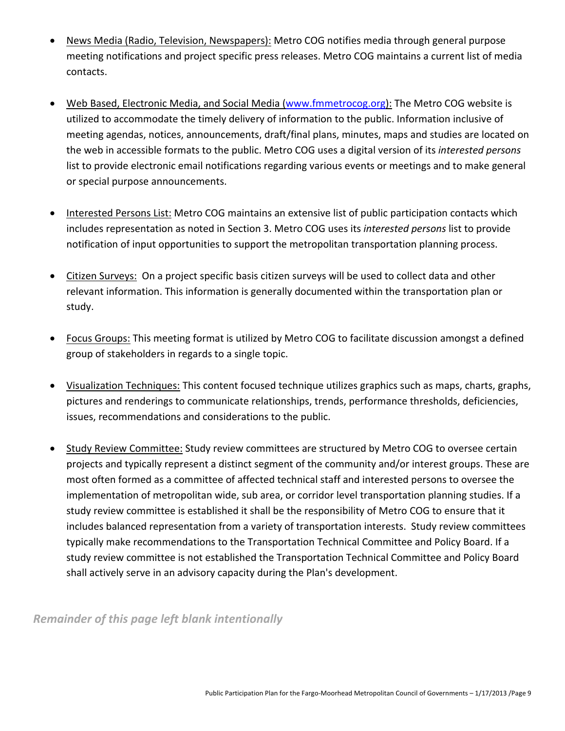- News Media (Radio, Television, Newspapers): Metro COG notifies media through general purpose meeting notifications and project specific press releases. Metro COG maintains a current list of media contacts.
- Web Based, Electronic Media, and Social Media (www.fmmetrocog.org): The Metro COG website is utilized to accommodate the timely delivery of information to the public. Information inclusive of meeting agendas, notices, announcements, draft/final plans, minutes, maps and studies are located on the web in accessible formats to the public. Metro COG uses a digital version of its *interested persons* list to provide electronic email notifications regarding various events or meetings and to make general or special purpose announcements.
- Interested Persons List: Metro COG maintains an extensive list of public participation contacts which includes representation as noted in Section 3. Metro COG uses its *interested persons* list to provide notification of input opportunities to support the metropolitan transportation planning process.
- Citizen Surveys: On a project specific basis citizen surveys will be used to collect data and other relevant information. This information is generally documented within the transportation plan or study.
- Focus Groups: This meeting format is utilized by Metro COG to facilitate discussion amongst a defined group of stakeholders in regards to a single topic.
- Visualization Techniques: This content focused technique utilizes graphics such as maps, charts, graphs, pictures and renderings to communicate relationships, trends, performance thresholds, deficiencies, issues, recommendations and considerations to the public.
- Study Review Committee: Study review committees are structured by Metro COG to oversee certain projects and typically represent a distinct segment of the community and/or interest groups. These are most often formed as a committee of affected technical staff and interested persons to oversee the implementation of metropolitan wide, sub area, or corridor level transportation planning studies. If a study review committee is established it shall be the responsibility of Metro COG to ensure that it includes balanced representation from a variety of transportation interests. Study review committees typically make recommendations to the Transportation Technical Committee and Policy Board. If a study review committee is not established the Transportation Technical Committee and Policy Board shall actively serve in an advisory capacity during the Plan's development.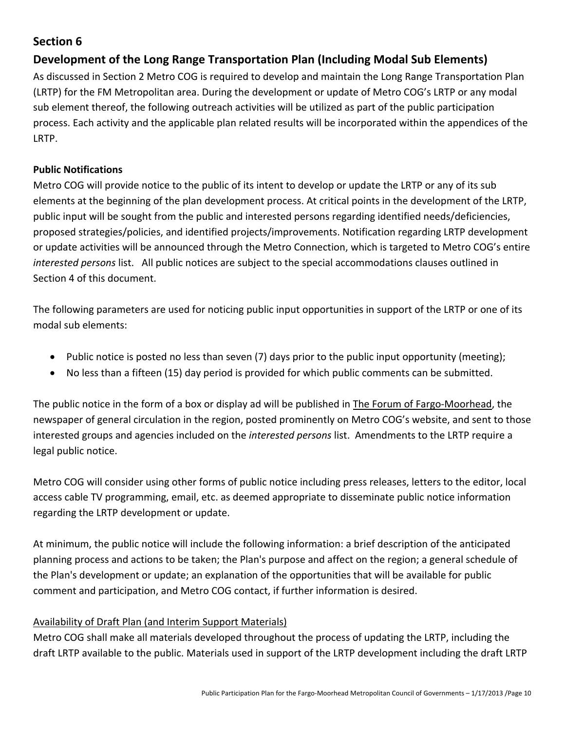## **Development of the Long Range Transportation Plan (Including Modal Sub Elements)**

As discussed in Section 2 Metro COG is required to develop and maintain the Long Range Transportation Plan (LRTP) for the FM Metropolitan area. During the development or update of Metro COG's LRTP or any modal sub element thereof, the following outreach activities will be utilized as part of the public participation process. Each activity and the applicable plan related results will be incorporated within the appendices of the LRTP.

#### **Public Notifications**

Metro COG will provide notice to the public of its intent to develop or update the LRTP or any of its sub elements at the beginning of the plan development process. At critical points in the development of the LRTP, public input will be sought from the public and interested persons regarding identified needs/deficiencies, proposed strategies/policies, and identified projects/improvements. Notification regarding LRTP development or update activities will be announced through the Metro Connection, which is targeted to Metro COG's entire *interested persons* list. All public notices are subject to the special accommodations clauses outlined in Section 4 of this document.

The following parameters are used for noticing public input opportunities in support of the LRTP or one of its modal sub elements:

- Public notice is posted no less than seven (7) days prior to the public input opportunity (meeting);
- No less than a fifteen (15) day period is provided for which public comments can be submitted.

The public notice in the form of a box or display ad will be published in The Forum of Fargo‐Moorhead, the newspaper of general circulation in the region, posted prominently on Metro COG's website, and sent to those interested groups and agencies included on the *interested persons* list. Amendments to the LRTP require a legal public notice.

Metro COG will consider using other forms of public notice including press releases, letters to the editor, local access cable TV programming, email, etc. as deemed appropriate to disseminate public notice information regarding the LRTP development or update.

At minimum, the public notice will include the following information: a brief description of the anticipated planning process and actions to be taken; the Plan's purpose and affect on the region; a general schedule of the Plan's development or update; an explanation of the opportunities that will be available for public comment and participation, and Metro COG contact, if further information is desired.

#### Availability of Draft Plan (and Interim Support Materials)

Metro COG shall make all materials developed throughout the process of updating the LRTP, including the draft LRTP available to the public. Materials used in support of the LRTP development including the draft LRTP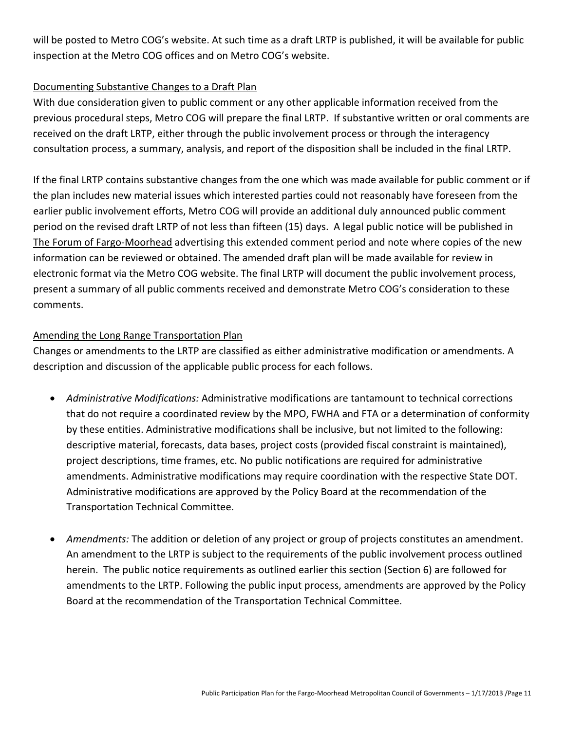will be posted to Metro COG's website. At such time as a draft LRTP is published, it will be available for public inspection at the Metro COG offices and on Metro COG's website.

#### Documenting Substantive Changes to a Draft Plan

With due consideration given to public comment or any other applicable information received from the previous procedural steps, Metro COG will prepare the final LRTP. If substantive written or oral comments are received on the draft LRTP, either through the public involvement process or through the interagency consultation process, a summary, analysis, and report of the disposition shall be included in the final LRTP.

If the final LRTP contains substantive changes from the one which was made available for public comment or if the plan includes new material issues which interested parties could not reasonably have foreseen from the earlier public involvement efforts, Metro COG will provide an additional duly announced public comment period on the revised draft LRTP of not less than fifteen (15) days. A legal public notice will be published in The Forum of Fargo-Moorhead advertising this extended comment period and note where copies of the new information can be reviewed or obtained. The amended draft plan will be made available for review in electronic format via the Metro COG website. The final LRTP will document the public involvement process, present a summary of all public comments received and demonstrate Metro COG's consideration to these comments.

#### Amending the Long Range Transportation Plan

Changes or amendments to the LRTP are classified as either administrative modification or amendments. A description and discussion of the applicable public process for each follows.

- *Administrative Modifications:* Administrative modifications are tantamount to technical corrections that do not require a coordinated review by the MPO, FWHA and FTA or a determination of conformity by these entities. Administrative modifications shall be inclusive, but not limited to the following: descriptive material, forecasts, data bases, project costs (provided fiscal constraint is maintained), project descriptions, time frames, etc. No public notifications are required for administrative amendments. Administrative modifications may require coordination with the respective State DOT. Administrative modifications are approved by the Policy Board at the recommendation of the Transportation Technical Committee.
- *Amendments:* The addition or deletion of any project or group of projects constitutes an amendment. An amendment to the LRTP is subject to the requirements of the public involvement process outlined herein. The public notice requirements as outlined earlier this section (Section 6) are followed for amendments to the LRTP. Following the public input process, amendments are approved by the Policy Board at the recommendation of the Transportation Technical Committee.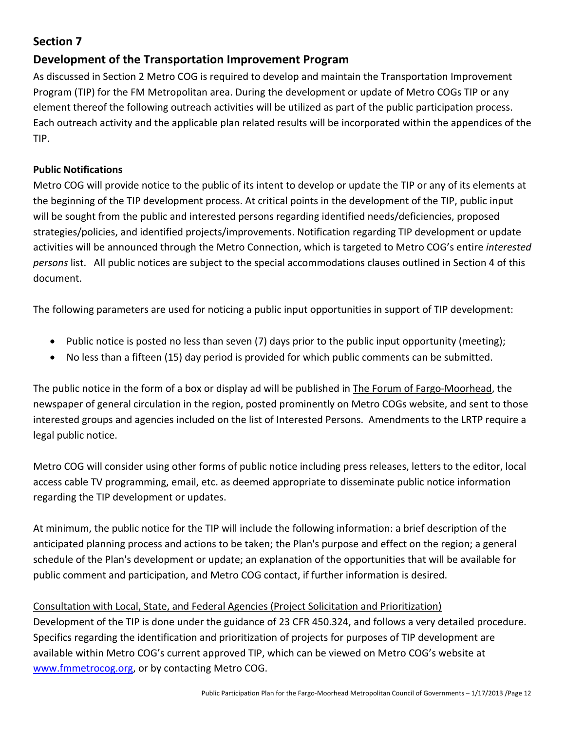## **Development of the Transportation Improvement Program**

As discussed in Section 2 Metro COG is required to develop and maintain the Transportation Improvement Program (TIP) for the FM Metropolitan area. During the development or update of Metro COGs TIP or any element thereof the following outreach activities will be utilized as part of the public participation process. Each outreach activity and the applicable plan related results will be incorporated within the appendices of the TIP.

#### **Public Notifications**

Metro COG will provide notice to the public of its intent to develop or update the TIP or any of its elements at the beginning of the TIP development process. At critical points in the development of the TIP, public input will be sought from the public and interested persons regarding identified needs/deficiencies, proposed strategies/policies, and identified projects/improvements. Notification regarding TIP development or update activities will be announced through the Metro Connection, which is targeted to Metro COG's entire *interested persons* list. All public notices are subject to the special accommodations clauses outlined in Section 4 of this document.

The following parameters are used for noticing a public input opportunities in support of TIP development:

- Public notice is posted no less than seven (7) days prior to the public input opportunity (meeting);
- No less than a fifteen (15) day period is provided for which public comments can be submitted.

The public notice in the form of a box or display ad will be published in The Forum of Fargo‐Moorhead, the newspaper of general circulation in the region, posted prominently on Metro COGs website, and sent to those interested groups and agencies included on the list of Interested Persons. Amendments to the LRTP require a legal public notice.

Metro COG will consider using other forms of public notice including press releases, letters to the editor, local access cable TV programming, email, etc. as deemed appropriate to disseminate public notice information regarding the TIP development or updates.

At minimum, the public notice for the TIP will include the following information: a brief description of the anticipated planning process and actions to be taken; the Plan's purpose and effect on the region; a general schedule of the Plan's development or update; an explanation of the opportunities that will be available for public comment and participation, and Metro COG contact, if further information is desired.

#### Consultation with Local, State, and Federal Agencies (Project Solicitation and Prioritization)

Development of the TIP is done under the guidance of 23 CFR 450.324, and follows a very detailed procedure. Specifics regarding the identification and prioritization of projects for purposes of TIP development are available within Metro COG's current approved TIP, which can be viewed on Metro COG's website at www.fmmetrocog.org, or by contacting Metro COG.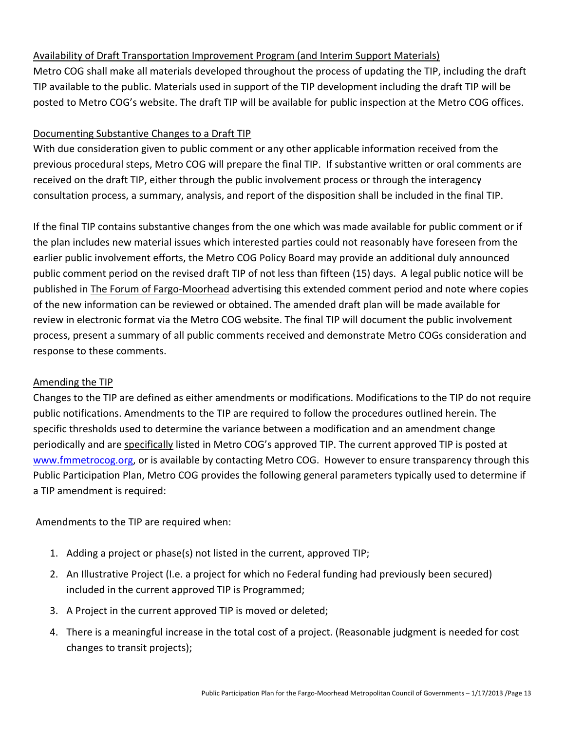#### Availability of Draft Transportation Improvement Program (and Interim Support Materials)

Metro COG shall make all materials developed throughout the process of updating the TIP, including the draft TIP available to the public. Materials used in support of the TIP development including the draft TIP will be posted to Metro COG's website. The draft TIP will be available for public inspection at the Metro COG offices.

#### Documenting Substantive Changes to a Draft TIP

With due consideration given to public comment or any other applicable information received from the previous procedural steps, Metro COG will prepare the final TIP. If substantive written or oral comments are received on the draft TIP, either through the public involvement process or through the interagency consultation process, a summary, analysis, and report of the disposition shall be included in the final TIP.

If the final TIP contains substantive changes from the one which was made available for public comment or if the plan includes new material issues which interested parties could not reasonably have foreseen from the earlier public involvement efforts, the Metro COG Policy Board may provide an additional duly announced public comment period on the revised draft TIP of not less than fifteen (15) days. A legal public notice will be published in The Forum of Fargo‐Moorhead advertising this extended comment period and note where copies of the new information can be reviewed or obtained. The amended draft plan will be made available for review in electronic format via the Metro COG website. The final TIP will document the public involvement process, present a summary of all public comments received and demonstrate Metro COGs consideration and response to these comments.

#### Amending the TIP

Changes to the TIP are defined as either amendments or modifications. Modifications to the TIP do not require public notifications. Amendments to the TIP are required to follow the procedures outlined herein. The specific thresholds used to determine the variance between a modification and an amendment change periodically and are specifically listed in Metro COG's approved TIP. The current approved TIP is posted at www.fmmetrocog.org, or is available by contacting Metro COG. However to ensure transparency through this Public Participation Plan, Metro COG provides the following general parameters typically used to determine if a TIP amendment is required:

Amendments to the TIP are required when:

- 1. Adding a project or phase(s) not listed in the current, approved TIP;
- 2. An Illustrative Project (I.e. a project for which no Federal funding had previously been secured) included in the current approved TIP is Programmed;
- 3. A Project in the current approved TIP is moved or deleted;
- 4. There is a meaningful increase in the total cost of a project. (Reasonable judgment is needed for cost changes to transit projects);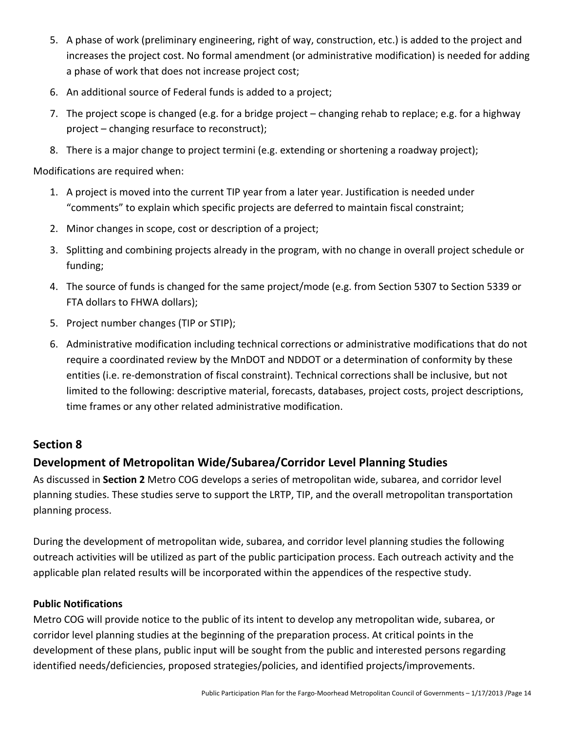- 5. A phase of work (preliminary engineering, right of way, construction, etc.) is added to the project and increases the project cost. No formal amendment (or administrative modification) is needed for adding a phase of work that does not increase project cost;
- 6. An additional source of Federal funds is added to a project;
- 7. The project scope is changed (e.g. for a bridge project changing rehab to replace; e.g. for a highway project – changing resurface to reconstruct);
- 8. There is a major change to project termini (e.g. extending or shortening a roadway project);

Modifications are required when:

- 1. A project is moved into the current TIP year from a later year. Justification is needed under "comments" to explain which specific projects are deferred to maintain fiscal constraint;
- 2. Minor changes in scope, cost or description of a project;
- 3. Splitting and combining projects already in the program, with no change in overall project schedule or funding;
- 4. The source of funds is changed for the same project/mode (e.g. from Section 5307 to Section 5339 or FTA dollars to FHWA dollars);
- 5. Project number changes (TIP or STIP);
- 6. Administrative modification including technical corrections or administrative modifications that do not require a coordinated review by the MnDOT and NDDOT or a determination of conformity by these entities (i.e. re‐demonstration of fiscal constraint). Technical corrections shall be inclusive, but not limited to the following: descriptive material, forecasts, databases, project costs, project descriptions, time frames or any other related administrative modification.

## **Section 8**

# **Development of Metropolitan Wide/Subarea/Corridor Level Planning Studies**

As discussed in **Section 2** Metro COG develops a series of metropolitan wide, subarea, and corridor level planning studies. These studies serve to support the LRTP, TIP, and the overall metropolitan transportation planning process.

During the development of metropolitan wide, subarea, and corridor level planning studies the following outreach activities will be utilized as part of the public participation process. Each outreach activity and the applicable plan related results will be incorporated within the appendices of the respective study.

#### **Public Notifications**

Metro COG will provide notice to the public of its intent to develop any metropolitan wide, subarea, or corridor level planning studies at the beginning of the preparation process. At critical points in the development of these plans, public input will be sought from the public and interested persons regarding identified needs/deficiencies, proposed strategies/policies, and identified projects/improvements.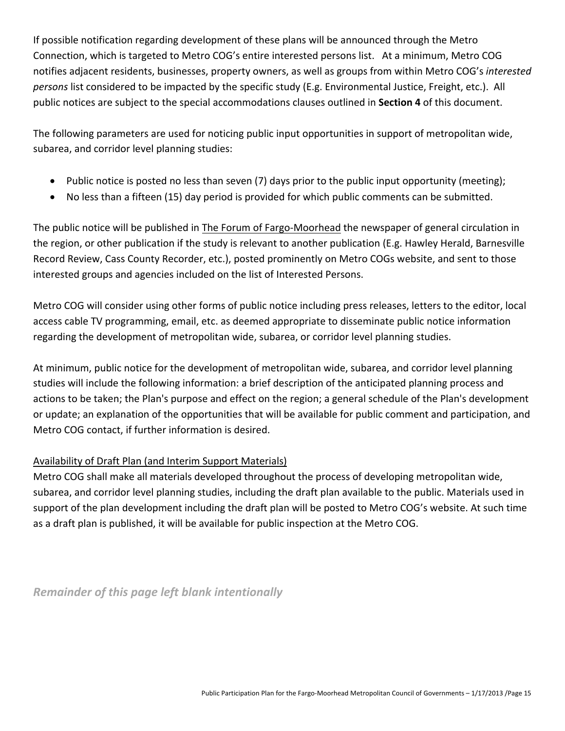If possible notification regarding development of these plans will be announced through the Metro Connection, which is targeted to Metro COG's entire interested persons list. At a minimum, Metro COG notifies adjacent residents, businesses, property owners, as well as groups from within Metro COG's *interested persons* list considered to be impacted by the specific study (E.g. Environmental Justice, Freight, etc.). All public notices are subject to the special accommodations clauses outlined in **Section 4** of this document.

The following parameters are used for noticing public input opportunities in support of metropolitan wide, subarea, and corridor level planning studies:

- Public notice is posted no less than seven (7) days prior to the public input opportunity (meeting);
- No less than a fifteen (15) day period is provided for which public comments can be submitted.

The public notice will be published in The Forum of Fargo‐Moorhead the newspaper of general circulation in the region, or other publication if the study is relevant to another publication (E.g. Hawley Herald, Barnesville Record Review, Cass County Recorder, etc.), posted prominently on Metro COGs website, and sent to those interested groups and agencies included on the list of Interested Persons.

Metro COG will consider using other forms of public notice including press releases, letters to the editor, local access cable TV programming, email, etc. as deemed appropriate to disseminate public notice information regarding the development of metropolitan wide, subarea, or corridor level planning studies.

At minimum, public notice for the development of metropolitan wide, subarea, and corridor level planning studies will include the following information: a brief description of the anticipated planning process and actions to be taken; the Plan's purpose and effect on the region; a general schedule of the Plan's development or update; an explanation of the opportunities that will be available for public comment and participation, and Metro COG contact, if further information is desired.

#### Availability of Draft Plan (and Interim Support Materials)

Metro COG shall make all materials developed throughout the process of developing metropolitan wide, subarea, and corridor level planning studies, including the draft plan available to the public. Materials used in support of the plan development including the draft plan will be posted to Metro COG's website. At such time as a draft plan is published, it will be available for public inspection at the Metro COG.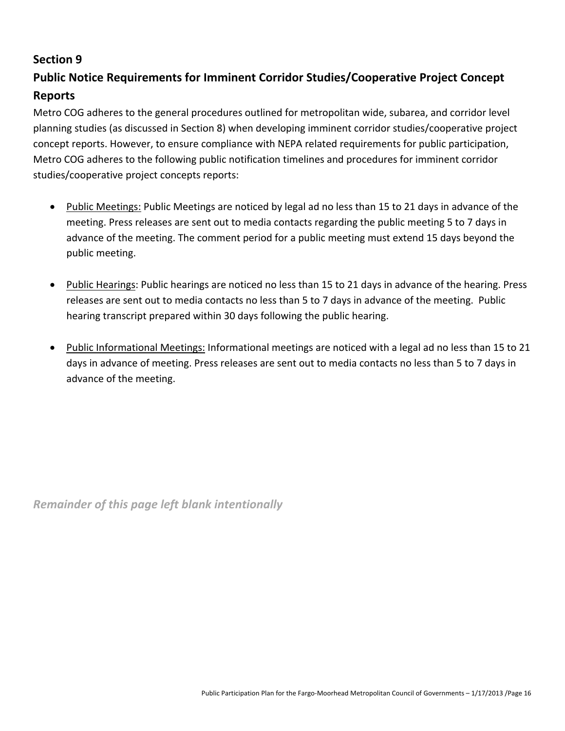# **Public Notice Requirements for Imminent Corridor Studies/Cooperative Project Concept Reports**

Metro COG adheres to the general procedures outlined for metropolitan wide, subarea, and corridor level planning studies (as discussed in Section 8) when developing imminent corridor studies/cooperative project concept reports. However, to ensure compliance with NEPA related requirements for public participation, Metro COG adheres to the following public notification timelines and procedures for imminent corridor studies/cooperative project concepts reports:

- Public Meetings: Public Meetings are noticed by legal ad no less than 15 to 21 days in advance of the meeting. Press releases are sent out to media contacts regarding the public meeting 5 to 7 days in advance of the meeting. The comment period for a public meeting must extend 15 days beyond the public meeting.
- Public Hearings: Public hearings are noticed no less than 15 to 21 days in advance of the hearing. Press releases are sent out to media contacts no less than 5 to 7 days in advance of the meeting. Public hearing transcript prepared within 30 days following the public hearing.
- Public Informational Meetings: Informational meetings are noticed with a legal ad no less than 15 to 21 days in advance of meeting. Press releases are sent out to media contacts no less than 5 to 7 days in advance of the meeting.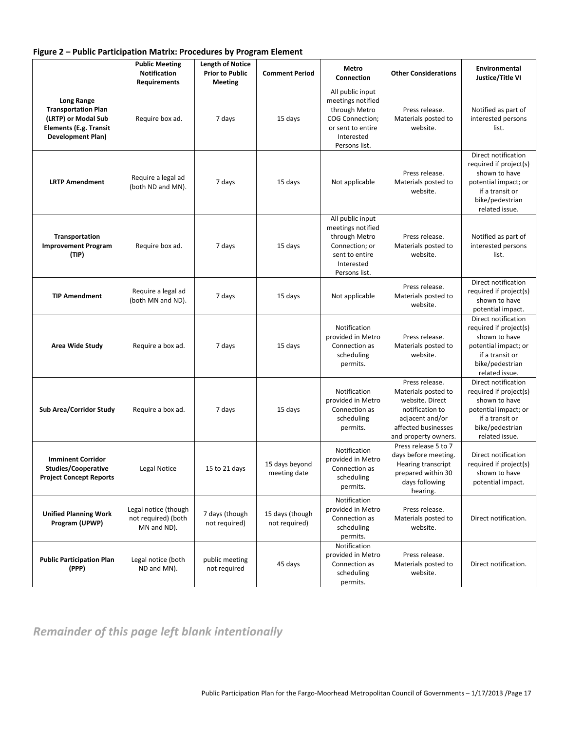| Figure 2 - Public Participation Matrix: Procedures by Program Element |  |  |  |
|-----------------------------------------------------------------------|--|--|--|
|-----------------------------------------------------------------------|--|--|--|

|                                                                                                                              | <b>Public Meeting</b><br><b>Notification</b><br><b>Requirements</b> | <b>Length of Notice</b><br><b>Prior to Public</b><br><b>Meeting</b> | <b>Comment Period</b>            | Metro<br>Connection                                                                                                           | <b>Other Considerations</b>                                                                                                                   | Environmental<br>Justice/Title VI                                                                                                              |
|------------------------------------------------------------------------------------------------------------------------------|---------------------------------------------------------------------|---------------------------------------------------------------------|----------------------------------|-------------------------------------------------------------------------------------------------------------------------------|-----------------------------------------------------------------------------------------------------------------------------------------------|------------------------------------------------------------------------------------------------------------------------------------------------|
| <b>Long Range</b><br><b>Transportation Plan</b><br>(LRTP) or Modal Sub<br><b>Elements (E.g. Transit</b><br>Development Plan) | Require box ad.                                                     | 7 days                                                              | 15 days                          | All public input<br>meetings notified<br>through Metro<br>COG Connection;<br>or sent to entire<br>Interested<br>Persons list. | Press release.<br>Materials posted to<br>website.                                                                                             | Notified as part of<br>interested persons<br>list.                                                                                             |
| <b>LRTP Amendment</b>                                                                                                        | Require a legal ad<br>(both ND and MN).                             | 7 days                                                              | 15 days                          | Not applicable                                                                                                                | Press release.<br>Materials posted to<br>website.                                                                                             | Direct notification<br>required if project(s)<br>shown to have<br>potential impact; or<br>if a transit or<br>bike/pedestrian<br>related issue. |
| Transportation<br><b>Improvement Program</b><br>(TIP)                                                                        | Require box ad.                                                     | 7 days                                                              | 15 days                          | All public input<br>meetings notified<br>through Metro<br>Connection; or<br>sent to entire<br>Interested<br>Persons list.     | Press release.<br>Materials posted to<br>website.                                                                                             | Notified as part of<br>interested persons<br>list.                                                                                             |
| <b>TIP Amendment</b>                                                                                                         | Require a legal ad<br>(both MN and ND).                             | 7 days                                                              | 15 days                          | Not applicable                                                                                                                | Press release.<br>Materials posted to<br>website.                                                                                             | Direct notification<br>required if project(s)<br>shown to have<br>potential impact.                                                            |
| Area Wide Study                                                                                                              | Require a box ad.                                                   | 7 days                                                              | 15 days                          | Notification<br>provided in Metro<br>Connection as<br>scheduling<br>permits.                                                  | Press release.<br>Materials posted to<br>website.                                                                                             | Direct notification<br>required if project(s)<br>shown to have<br>potential impact; or<br>if a transit or<br>bike/pedestrian<br>related issue. |
| <b>Sub Area/Corridor Study</b>                                                                                               | Require a box ad.                                                   | 7 days                                                              | 15 days                          | Notification<br>provided in Metro<br>Connection as<br>scheduling<br>permits.                                                  | Press release.<br>Materials posted to<br>website. Direct<br>notification to<br>adjacent and/or<br>affected businesses<br>and property owners. | Direct notification<br>required if project(s)<br>shown to have<br>potential impact; or<br>if a transit or<br>bike/pedestrian<br>related issue. |
| <b>Imminent Corridor</b><br><b>Studies/Cooperative</b><br><b>Project Concept Reports</b>                                     | Legal Notice                                                        | 15 to 21 days                                                       | 15 days beyond<br>meeting date   | Notification<br>provided in Metro<br>Connection as<br>scheduling<br>permits.                                                  | Press release 5 to 7<br>days before meeting.<br><b>Hearing transcript</b><br>prepared within 30<br>days following<br>hearing.                 | Direct notification<br>required if project(s)<br>shown to have<br>potential impact.                                                            |
| <b>Unified Planning Work</b><br>Program (UPWP)                                                                               | Legal notice (though<br>not required) (both<br>MN and ND).          | 7 days (though<br>not required)                                     | 15 days (though<br>not required) | Notification<br>provided in Metro<br>Connection as<br>scheduling<br>permits.                                                  | Press release.<br>Materials posted to<br>website.                                                                                             | Direct notification.                                                                                                                           |
| <b>Public Participation Plan</b><br>(PPP)                                                                                    | Legal notice (both<br>ND and MN).                                   | public meeting<br>not required                                      | 45 days                          | Notification<br>provided in Metro<br>Connection as<br>scheduling<br>permits.                                                  | Press release.<br>Materials posted to<br>website.                                                                                             | Direct notification.                                                                                                                           |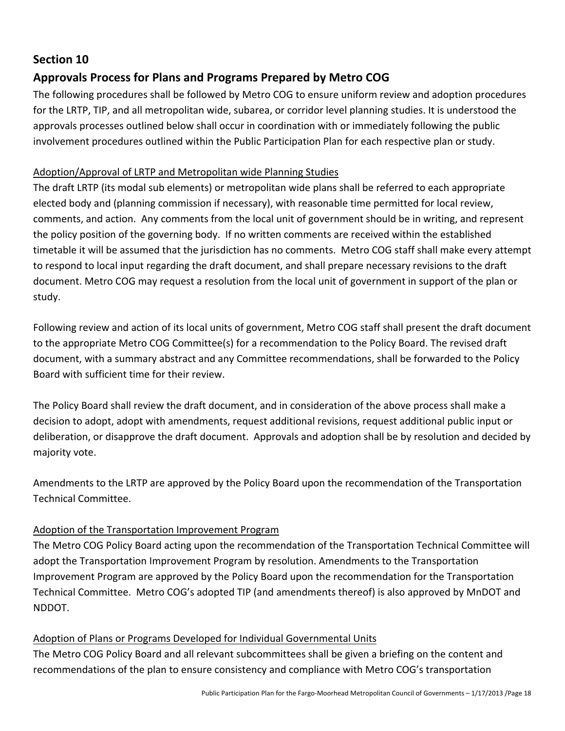# **Approvals Process for Plans and Programs Prepared by Metro COG**

The following procedures shall be followed by Metro COG to ensure uniform review and adoption procedures for the LRTP, TIP, and all metropolitan wide, subarea, or corridor level planning studies. It is understood the approvals processes outlined below shall occur in coordination with or immediately following the public involvement procedures outlined within the Public Participation Plan for each respective plan or study.

#### Adoption/Approval of LRTP and Metropolitan wide Planning Studies

The draft LRTP (its modal sub elements) or metropolitan wide plans shall be referred to each appropriate elected body and (planning commission if necessary), with reasonable time permitted for local review, comments, and action. Any comments from the local unit of government should be in writing, and represent the policy position of the governing body. If no written comments are received within the established timetable it will be assumed that the jurisdiction has no comments. Metro COG staff shall make every attempt to respond to local input regarding the draft document, and shall prepare necessary revisions to the draft document. Metro COG may request a resolution from the local unit of government in support of the plan or study.

Following review and action of its local units of government, Metro COG staff shall present the draft document to the appropriate Metro COG Committee(s) for a recommendation to the Policy Board. The revised draft document, with a summary abstract and any Committee recommendations, shall be forwarded to the Policy Board with sufficient time for their review.

The Policy Board shall review the draft document, and in consideration of the above process shall make a decision to adopt, adopt with amendments, request additional revisions, request additional public input or deliberation, or disapprove the draft document. Approvals and adoption shall be by resolution and decided by majority vote.

Amendments to the LRTP are approved by the Policy Board upon the recommendation of the Transportation Technical Committee.

#### Adoption of the Transportation Improvement Program

The Metro COG Policy Board acting upon the recommendation of the Transportation Technical Committee will adopt the Transportation Improvement Program by resolution. Amendments to the Transportation Improvement Program are approved by the Policy Board upon the recommendation for the Transportation Technical Committee. Metro COG's adopted TIP (and amendments thereof) is also approved by MnDOT and NDDOT.

#### Adoption of Plans or Programs Developed for Individual Governmental Units

The Metro COG Policy Board and all relevant subcommittees shall be given a briefing on the content and recommendations of the plan to ensure consistency and compliance with Metro COG's transportation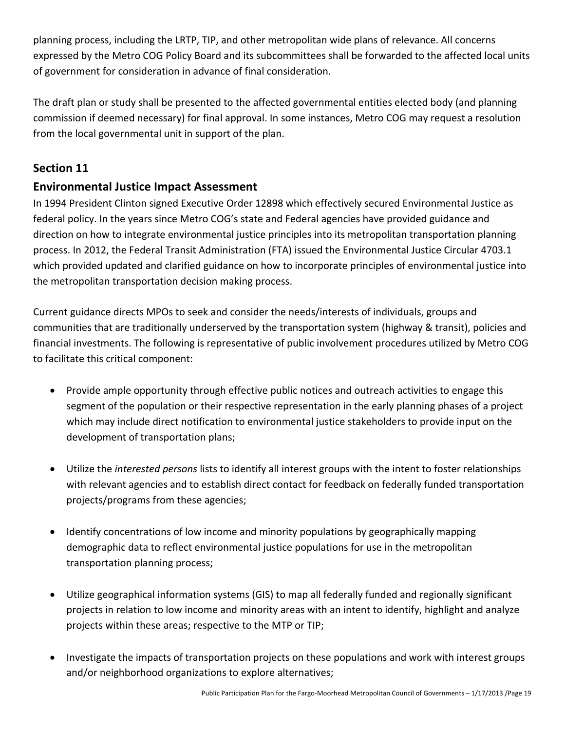planning process, including the LRTP, TIP, and other metropolitan wide plans of relevance. All concerns expressed by the Metro COG Policy Board and its subcommittees shall be forwarded to the affected local units of government for consideration in advance of final consideration.

The draft plan or study shall be presented to the affected governmental entities elected body (and planning commission if deemed necessary) for final approval. In some instances, Metro COG may request a resolution from the local governmental unit in support of the plan.

# **Section 11**

# **Environmental Justice Impact Assessment**

In 1994 President Clinton signed Executive Order 12898 which effectively secured Environmental Justice as federal policy. In the years since Metro COG's state and Federal agencies have provided guidance and direction on how to integrate environmental justice principles into its metropolitan transportation planning process. In 2012, the Federal Transit Administration (FTA) issued the Environmental Justice Circular 4703.1 which provided updated and clarified guidance on how to incorporate principles of environmental justice into the metropolitan transportation decision making process.

Current guidance directs MPOs to seek and consider the needs/interests of individuals, groups and communities that are traditionally underserved by the transportation system (highway & transit), policies and financial investments. The following is representative of public involvement procedures utilized by Metro COG to facilitate this critical component:

- Provide ample opportunity through effective public notices and outreach activities to engage this segment of the population or their respective representation in the early planning phases of a project which may include direct notification to environmental justice stakeholders to provide input on the development of transportation plans;
- Utilize the *interested persons* lists to identify all interest groups with the intent to foster relationships with relevant agencies and to establish direct contact for feedback on federally funded transportation projects/programs from these agencies;
- Identify concentrations of low income and minority populations by geographically mapping demographic data to reflect environmental justice populations for use in the metropolitan transportation planning process;
- Utilize geographical information systems (GIS) to map all federally funded and regionally significant projects in relation to low income and minority areas with an intent to identify, highlight and analyze projects within these areas; respective to the MTP or TIP;
- Investigate the impacts of transportation projects on these populations and work with interest groups and/or neighborhood organizations to explore alternatives;